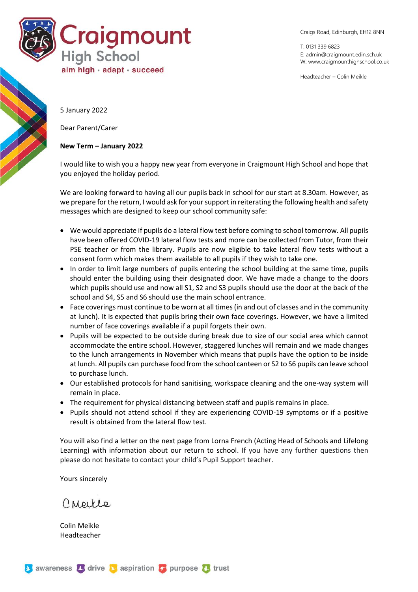

Craigs Road, Edinburgh, EH12 8NN

T: 0131 339 6823 E: [admin@craigmount.edin.sch.uk](mailto:admin@craigmount.edin.sch.uk) W[: www.craigmounthighschool.co.uk](http://www.craigmounthighschool.co.uk/)

Headteacher – Colin Meikle

5 January 2022

Dear Parent/Carer

## **New Term – January 2022**

I would like to wish you a happy new year from everyone in Craigmount High School and hope that you enjoyed the holiday period.

We are looking forward to having all our pupils back in school for our start at 8.30am. However, as we prepare for the return, I would ask for your support in reiterating the following health and safety messages which are designed to keep our school community safe:

- We would appreciate if pupils do a lateral flow test before coming to school tomorrow. All pupils have been offered COVID-19 lateral flow tests and more can be collected from Tutor, from their PSE teacher or from the library. Pupils are now eligible to take lateral flow tests without a consent form which makes them available to all pupils if they wish to take one.
- In order to limit large numbers of pupils entering the school building at the same time, pupils should enter the building using their designated door. We have made a change to the doors which pupils should use and now all S1, S2 and S3 pupils should use the door at the back of the school and S4, S5 and S6 should use the main school entrance.
- Face coverings must continue to be worn at all times (in and out of classes and in the community at lunch). It is expected that pupils bring their own face coverings. However, we have a limited number of face coverings available if a pupil forgets their own.
- Pupils will be expected to be outside during break due to size of our social area which cannot accommodate the entire school. However, staggered lunches will remain and we made changes to the lunch arrangements in November which means that pupils have the option to be inside at lunch. All pupils can purchase food from the school canteen or S2 to S6 pupils can leave school to purchase lunch.
- Our established protocols for hand sanitising, workspace cleaning and the one-way system will remain in place.
- The requirement for physical distancing between staff and pupils remains in place.
- Pupils should not attend school if they are experiencing COVID-19 symptoms or if a positive result is obtained from the lateral flow test.

You will also find a letter on the next page from Lorna French (Acting Head of Schools and Lifelong Learning) with information about our return to school. If you have any further questions then please do not hesitate to contact your child's Pupil Support teacher.

Yours sincerely

Creice

Colin Meikle Headteacher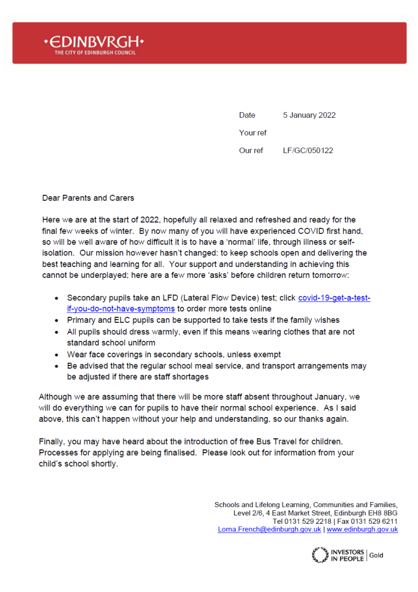

Date 5 January 2022 Your ref Our ref LF/GC/050122

Dear Parents and Carers

Here we are at the start of 2022, hopefully all relaxed and refreshed and ready for the final few weeks of winter. By now many of you will have experienced COVID first hand, so will be well aware of how difficult it is to have a 'normal' life, through illness or selfisolation. Our mission however hasn't changed: to keep schools open and delivering the best teaching and learning for all. Your support and understanding in achieving this cannot be underplayed; here are a few more 'asks' before children return tomorrow:

- Secondary pupils take an LFD (Lateral Flow Device) test; click covid-19-get-a-testif-you-do-not-have-symptoms to order more tests online
- Primary and ELC pupils can be supported to take tests if the family wishes
- All pupils should dress warmly, even if this means wearing clothes that are not standard school uniform
- Wear face coverings in secondary schools, unless exempt
- Be advised that the regular school meal service, and transport arrangements may be adjusted if there are staff shortages

Although we are assuming that there will be more staff absent throughout January, we will do everything we can for pupils to have their normal school experience. As I said above, this can't happen without your help and understanding, so our thanks again.

Finally, you may have heard about the introduction of free Bus Travel for children. Processes for applying are being finalised. Please look out for information from your child's school shortly.

> Schools and Lifelong Learning, Communities and Families, Level 2/6, 4 East Market Street, Edinburgh EH8 8BG Tel 0131 529 2218 | Fax 0131 529 6211 Lorna.French@edinburgh.gov.uk | www.edinburgh.gov.uk